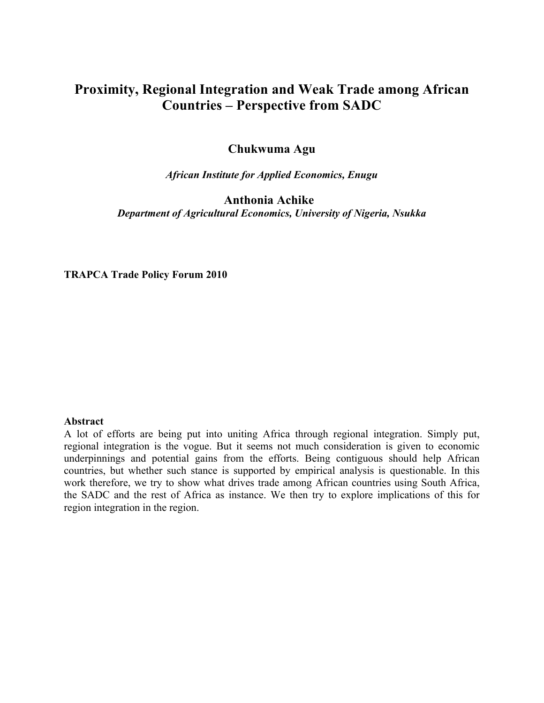# **Proximity, Regional Integration and Weak Trade among African Countries – Perspective from SADC**

#### **Chukwuma Agu**

*African Institute for Applied Economics, Enugu*

#### **Anthonia Achike**

*Department of Agricultural Economics, University of Nigeria, Nsukka*

**TRAPCA Trade Policy Forum 2010**

#### **Abstract**

A lot of efforts are being put into uniting Africa through regional integration. Simply put, regional integration is the vogue. But it seems not much consideration is given to economic underpinnings and potential gains from the efforts. Being contiguous should help African countries, but whether such stance is supported by empirical analysis is questionable. In this work therefore, we try to show what drives trade among African countries using South Africa, the SADC and the rest of Africa as instance. We then try to explore implications of this for region integration in the region.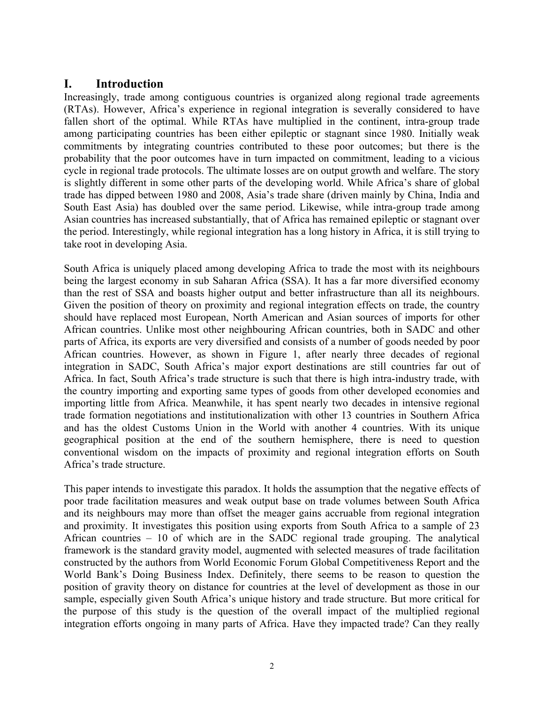## **I. Introduction**

Increasingly, trade among contiguous countries is organized along regional trade agreements (RTAs). However, Africa's experience in regional integration is severally considered to have fallen short of the optimal. While RTAs have multiplied in the continent, intra-group trade among participating countries has been either epileptic or stagnant since 1980. Initially weak commitments by integrating countries contributed to these poor outcomes; but there is the probability that the poor outcomes have in turn impacted on commitment, leading to a vicious cycle in regional trade protocols. The ultimate losses are on output growth and welfare. The story is slightly different in some other parts of the developing world. While Africa's share of global trade has dipped between 1980 and 2008, Asia's trade share (driven mainly by China, India and South East Asia) has doubled over the same period. Likewise, while intra-group trade among Asian countries has increased substantially, that of Africa has remained epileptic or stagnant over the period. Interestingly, while regional integration has a long history in Africa, it is still trying to take root in developing Asia.

South Africa is uniquely placed among developing Africa to trade the most with its neighbours being the largest economy in sub Saharan Africa (SSA). It has a far more diversified economy than the rest of SSA and boasts higher output and better infrastructure than all its neighbours. Given the position of theory on proximity and regional integration effects on trade, the country should have replaced most European, North American and Asian sources of imports for other African countries. Unlike most other neighbouring African countries, both in SADC and other parts of Africa, its exports are very diversified and consists of a number of goods needed by poor African countries. However, as shown in Figure 1, after nearly three decades of regional integration in SADC, South Africa's major export destinations are still countries far out of Africa. In fact, South Africa's trade structure is such that there is high intra-industry trade, with the country importing and exporting same types of goods from other developed economies and importing little from Africa. Meanwhile, it has spent nearly two decades in intensive regional trade formation negotiations and institutionalization with other 13 countries in Southern Africa and has the oldest Customs Union in the World with another 4 countries. With its unique geographical position at the end of the southern hemisphere, there is need to question conventional wisdom on the impacts of proximity and regional integration efforts on South Africa's trade structure.

This paper intends to investigate this paradox. It holds the assumption that the negative effects of poor trade facilitation measures and weak output base on trade volumes between South Africa and its neighbours may more than offset the meager gains accruable from regional integration and proximity. It investigates this position using exports from South Africa to a sample of 23 African countries – 10 of which are in the SADC regional trade grouping. The analytical framework is the standard gravity model, augmented with selected measures of trade facilitation constructed by the authors from World Economic Forum Global Competitiveness Report and the World Bank's Doing Business Index. Definitely, there seems to be reason to question the position of gravity theory on distance for countries at the level of development as those in our sample, especially given South Africa's unique history and trade structure. But more critical for the purpose of this study is the question of the overall impact of the multiplied regional integration efforts ongoing in many parts of Africa. Have they impacted trade? Can they really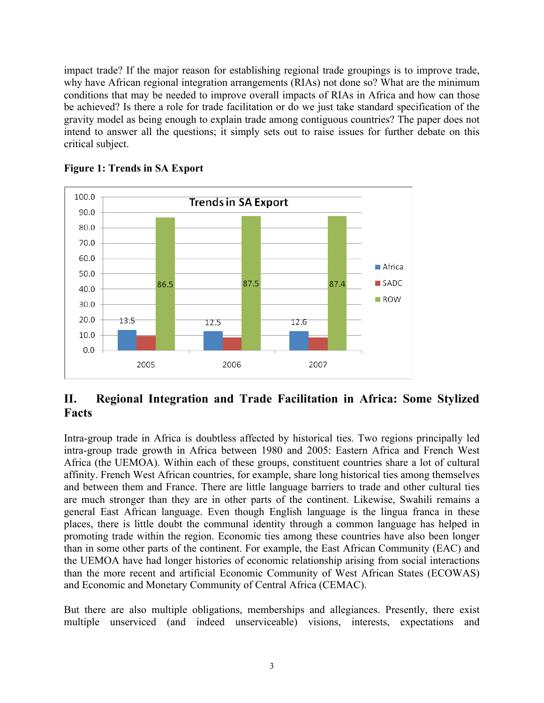impact trade? If the major reason for establishing regional trade groupings is to improve trade, why have African regional integration arrangements (RIAs) not done so? What are the minimum conditions that may be needed to improve overall impacts of RIAs in Africa and how can those be achieved? Is there a role for trade facilitation or do we just take standard specification of the gravity model as being enough to explain trade among contiguous countries? The paper does not intend to answer all the questions; it simply sets out to raise issues for further debate on this critical subject.



#### **Figure 1: Trends in SA Export**

## **II. Regional Integration and Trade Facilitation in Africa: Some Stylized Facts**

Intra-group trade in Africa is doubtless affected by historical ties. Two regions principally led intra-group trade growth in Africa between 1980 and 2005: Eastern Africa and French West Africa (the UEMOA). Within each of these groups, constituent countries share a lot of cultural affinity. French West African countries, for example, share long historical ties among themselves and between them and France. There are little language barriers to trade and other cultural ties are much stronger than they are in other parts of the continent. Likewise, Swahili remains a general East African language. Even though English language is the lingua franca in these places, there is little doubt the communal identity through a common language has helped in promoting trade within the region. Economic ties among these countries have also been longer than in some other parts of the continent. For example, the East African Community (EAC) and the UEMOA have had longer histories of economic relationship arising from social interactions than the more recent and artificial Economic Community of West African States (ECOWAS) and Economic and Monetary Community of Central Africa (CEMAC).

But there are also multiple obligations, memberships and allegiances. Presently, there exist multiple unserviced (and indeed unserviceable) visions, interests, expectations and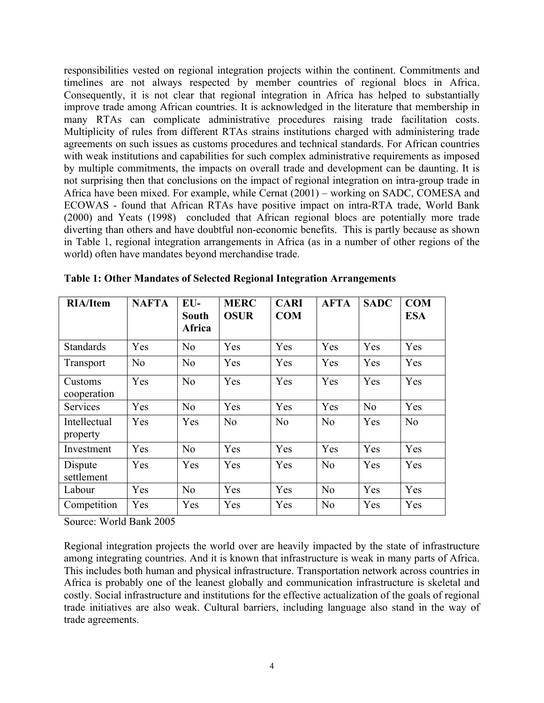responsibilities vested on regional integration projects within the continent. Commitments and timelines are not always respected by member countries of regional blocs in Africa. Consequently, it is not clear that regional integration in Africa has helped to substantially improve trade among African countries. It is acknowledged in the literature that membership in many RTAs can complicate administrative procedures raising trade facilitation costs. Multiplicity of rules from different RTAs strains institutions charged with administering trade agreements on such issues as customs procedures and technical standards. For African countries with weak institutions and capabilities for such complex administrative requirements as imposed by multiple commitments, the impacts on overall trade and development can be daunting. It is not surprising then that conclusions on the impact of regional integration on intra-group trade in Africa have been mixed. For example, while Cernat (2001) – working on SADC, COMESA and ECOWAS - found that African RTAs have positive impact on intra-RTA trade, World Bank (2000) and Yeats (1998) concluded that African regional blocs are potentially more trade diverting than others and have doubtful non-economic benefits. This is partly because as shown in Table 1, regional integration arrangements in Africa (as in a number of other regions of the world) often have mandates beyond merchandise trade.

| <b>RIA/Item</b>          | <b>NAFTA</b>   | EU-<br>South<br><b>Africa</b> | <b>MERC</b><br><b>OSUR</b> | <b>CARI</b><br><b>COM</b> | <b>AFTA</b>    | <b>SADC</b>    | <b>COM</b><br><b>ESA</b> |
|--------------------------|----------------|-------------------------------|----------------------------|---------------------------|----------------|----------------|--------------------------|
| <b>Standards</b>         | Yes            | N <sub>o</sub>                | Yes                        | Yes                       | Yes            | Yes            | Yes                      |
| Transport                | N <sub>o</sub> | N <sub>o</sub>                | Yes                        | Yes                       | Yes            | Yes            | Yes                      |
| Customs<br>cooperation   | Yes            | N <sub>0</sub>                | Yes                        | Yes                       | Yes            | Yes            | Yes                      |
| <b>Services</b>          | Yes            | N <sub>o</sub>                | Yes                        | Yes                       | Yes            | N <sub>o</sub> | Yes                      |
| Intellectual<br>property | Yes            | Yes                           | No                         | N <sub>0</sub>            | N <sub>0</sub> | Yes            | N <sub>0</sub>           |
| Investment               | Yes            | N <sub>o</sub>                | Yes                        | Yes                       | Yes            | Yes            | Yes                      |
| Dispute<br>settlement    | Yes            | Yes                           | Yes                        | Yes                       | N <sub>0</sub> | Yes            | Yes                      |
| Labour                   | Yes            | N <sub>o</sub>                | Yes                        | Yes                       | N <sub>o</sub> | Yes            | Yes                      |
| Competition              | Yes            | Yes                           | Yes                        | Yes                       | N <sub>o</sub> | Yes            | Yes                      |

**Table 1: Other Mandates of Selected Regional Integration Arrangements**

Source: World Bank 2005

Regional integration projects the world over are heavily impacted by the state of infrastructure among integrating countries. And it is known that infrastructure is weak in many parts of Africa. This includes both human and physical infrastructure. Transportation network across countries in Africa is probably one of the leanest globally and communication infrastructure is skeletal and costly. Social infrastructure and institutions for the effective actualization of the goals of regional trade initiatives are also weak. Cultural barriers, including language also stand in the way of trade agreements.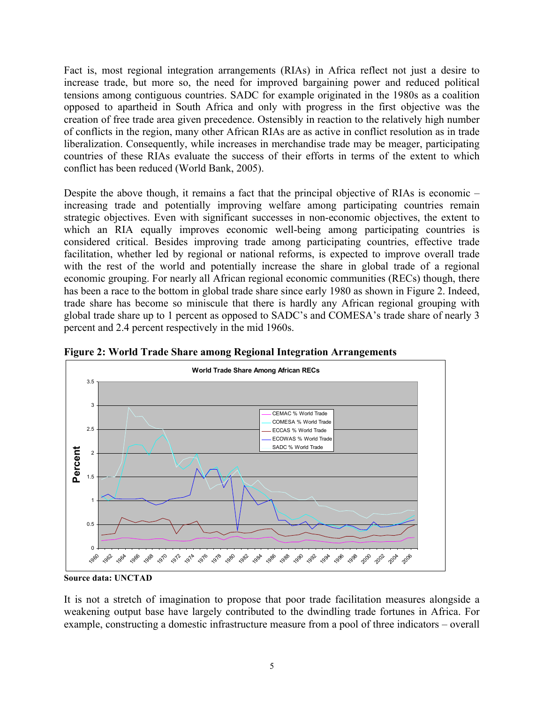Fact is, most regional integration arrangements (RIAs) in Africa reflect not just a desire to increase trade, but more so, the need for improved bargaining power and reduced political tensions among contiguous countries. SADC for example originated in the 1980s as a coalition opposed to apartheid in South Africa and only with progress in the first objective was the creation of free trade area given precedence. Ostensibly in reaction to the relatively high number of conflicts in the region, many other African RIAs are as active in conflict resolution as in trade liberalization. Consequently, while increases in merchandise trade may be meager, participating countries of these RIAs evaluate the success of their efforts in terms of the extent to which conflict has been reduced (World Bank, 2005).

Despite the above though, it remains a fact that the principal objective of RIAs is economic – increasing trade and potentially improving welfare among participating countries remain strategic objectives. Even with significant successes in non-economic objectives, the extent to which an RIA equally improves economic well-being among participating countries is considered critical. Besides improving trade among participating countries, effective trade facilitation, whether led by regional or national reforms, is expected to improve overall trade with the rest of the world and potentially increase the share in global trade of a regional economic grouping. For nearly all African regional economic communities (RECs) though, there has been a race to the bottom in global trade share since early 1980 as shown in Figure 2. Indeed, trade share has become so miniscule that there is hardly any African regional grouping with global trade share up to 1 percent as opposed to SADC's and COMESA's trade share of nearly 3 percent and 2.4 percent respectively in the mid 1960s.



**Figure 2: World Trade Share among Regional Integration Arrangements**

**Source data: UNCTAD** 

It is not a stretch of imagination to propose that poor trade facilitation measures alongside a weakening output base have largely contributed to the dwindling trade fortunes in Africa. For example, constructing a domestic infrastructure measure from a pool of three indicators – overall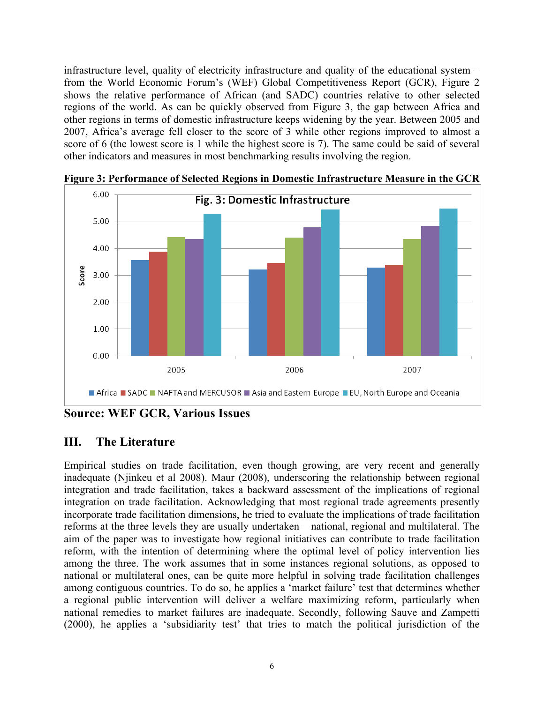infrastructure level, quality of electricity infrastructure and quality of the educational system – from the World Economic Forum's (WEF) Global Competitiveness Report (GCR), Figure 2 shows the relative performance of African (and SADC) countries relative to other selected regions of the world. As can be quickly observed from Figure 3, the gap between Africa and other regions in terms of domestic infrastructure keeps widening by the year. Between 2005 and 2007, Africa's average fell closer to the score of 3 while other regions improved to almost a score of 6 (the lowest score is 1 while the highest score is 7). The same could be said of several other indicators and measures in most benchmarking results involving the region.



**Figure 3: Performance of Selected Regions in Domestic Infrastructure Measure in the GCR**

**Source: WEF GCR, Various Issues**

## **III. The Literature**

Empirical studies on trade facilitation, even though growing, are very recent and generally inadequate (Njinkeu et al 2008). Maur (2008), underscoring the relationship between regional integration and trade facilitation, takes a backward assessment of the implications of regional integration on trade facilitation. Acknowledging that most regional trade agreements presently incorporate trade facilitation dimensions, he tried to evaluate the implications of trade facilitation reforms at the three levels they are usually undertaken – national, regional and multilateral. The aim of the paper was to investigate how regional initiatives can contribute to trade facilitation reform, with the intention of determining where the optimal level of policy intervention lies among the three. The work assumes that in some instances regional solutions, as opposed to national or multilateral ones, can be quite more helpful in solving trade facilitation challenges among contiguous countries. To do so, he applies a 'market failure' test that determines whether a regional public intervention will deliver a welfare maximizing reform, particularly when national remedies to market failures are inadequate. Secondly, following Sauve and Zampetti (2000), he applies a 'subsidiarity test' that tries to match the political jurisdiction of the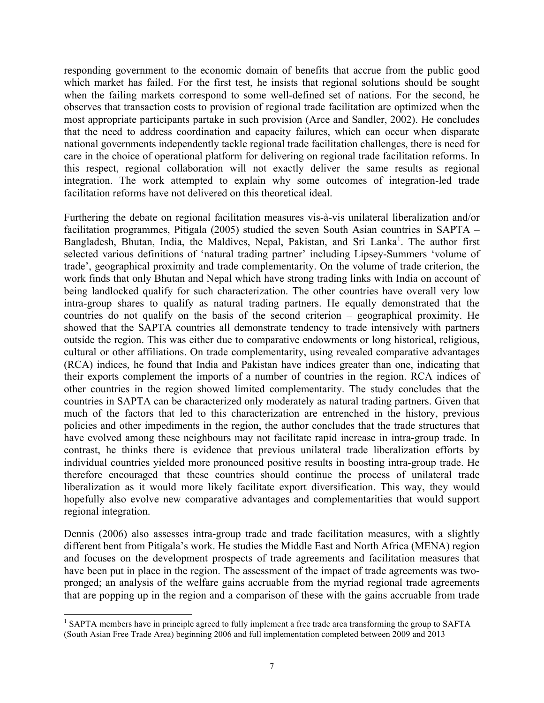responding government to the economic domain of benefits that accrue from the public good which market has failed. For the first test, he insists that regional solutions should be sought when the failing markets correspond to some well-defined set of nations. For the second, he observes that transaction costs to provision of regional trade facilitation are optimized when the most appropriate participants partake in such provision (Arce and Sandler, 2002). He concludes that the need to address coordination and capacity failures, which can occur when disparate national governments independently tackle regional trade facilitation challenges, there is need for care in the choice of operational platform for delivering on regional trade facilitation reforms. In this respect, regional collaboration will not exactly deliver the same results as regional integration. The work attempted to explain why some outcomes of integration-led trade facilitation reforms have not delivered on this theoretical ideal.

Furthering the debate on regional facilitation measures vis-à-vis unilateral liberalization and/or facilitation programmes, Pitigala (2005) studied the seven South Asian countries in SAPTA – Bangladesh, Bhutan, India, the Maldives, Nepal, Pakistan, and Sri Lanka<sup>1</sup>. The author first selected various definitions of 'natural trading partner' including Lipsey-Summers 'volume of trade', geographical proximity and trade complementarity. On the volume of trade criterion, the work finds that only Bhutan and Nepal which have strong trading links with India on account of being landlocked qualify for such characterization. The other countries have overall very low intra-group shares to qualify as natural trading partners. He equally demonstrated that the countries do not qualify on the basis of the second criterion – geographical proximity. He showed that the SAPTA countries all demonstrate tendency to trade intensively with partners outside the region. This was either due to comparative endowments or long historical, religious, cultural or other affiliations. On trade complementarity, using revealed comparative advantages (RCA) indices, he found that India and Pakistan have indices greater than one, indicating that their exports complement the imports of a number of countries in the region. RCA indices of other countries in the region showed limited complementarity. The study concludes that the countries in SAPTA can be characterized only moderately as natural trading partners. Given that much of the factors that led to this characterization are entrenched in the history, previous policies and other impediments in the region, the author concludes that the trade structures that have evolved among these neighbours may not facilitate rapid increase in intra-group trade. In contrast, he thinks there is evidence that previous unilateral trade liberalization efforts by individual countries yielded more pronounced positive results in boosting intra-group trade. He therefore encouraged that these countries should continue the process of unilateral trade liberalization as it would more likely facilitate export diversification. This way, they would hopefully also evolve new comparative advantages and complementarities that would support regional integration.

Dennis (2006) also assesses intra-group trade and trade facilitation measures, with a slightly different bent from Pitigala's work. He studies the Middle East and North Africa (MENA) region and focuses on the development prospects of trade agreements and facilitation measures that have been put in place in the region. The assessment of the impact of trade agreements was twopronged; an analysis of the welfare gains accruable from the myriad regional trade agreements that are popping up in the region and a comparison of these with the gains accruable from trade

<sup>&</sup>lt;sup>1</sup> SAPTA members have in principle agreed to fully implement a free trade area transforming the group to SAFTA (South Asian Free Trade Area) beginning 2006 and full implementation completed between 2009 and 2013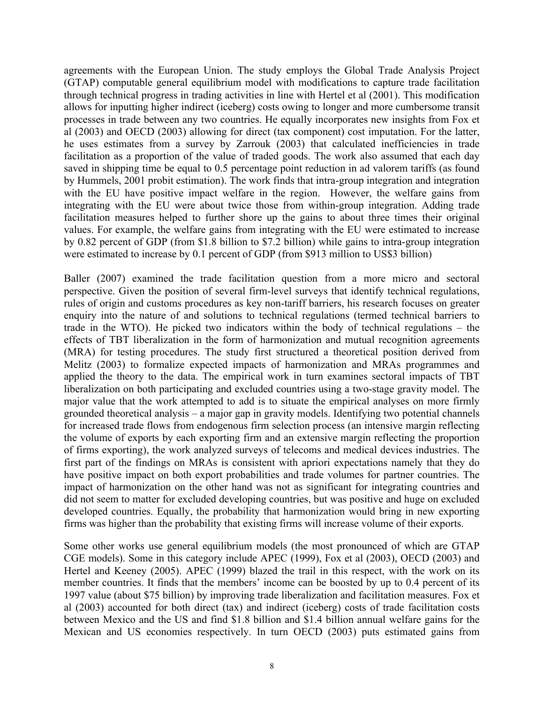agreements with the European Union. The study employs the Global Trade Analysis Project (GTAP) computable general equilibrium model with modifications to capture trade facilitation through technical progress in trading activities in line with Hertel et al (2001). This modification allows for inputting higher indirect (iceberg) costs owing to longer and more cumbersome transit processes in trade between any two countries. He equally incorporates new insights from Fox et al (2003) and OECD (2003) allowing for direct (tax component) cost imputation. For the latter, he uses estimates from a survey by Zarrouk (2003) that calculated inefficiencies in trade facilitation as a proportion of the value of traded goods. The work also assumed that each day saved in shipping time be equal to 0.5 percentage point reduction in ad valorem tariffs (as found by Hummels, 2001 probit estimation). The work finds that intra-group integration and integration with the EU have positive impact welfare in the region. However, the welfare gains from integrating with the EU were about twice those from within-group integration. Adding trade facilitation measures helped to further shore up the gains to about three times their original values. For example, the welfare gains from integrating with the EU were estimated to increase by 0.82 percent of GDP (from \$1.8 billion to \$7.2 billion) while gains to intra-group integration were estimated to increase by 0.1 percent of GDP (from \$913 million to US\$3 billion)

Baller (2007) examined the trade facilitation question from a more micro and sectoral perspective. Given the position of several firm-level surveys that identify technical regulations, rules of origin and customs procedures as key non-tariff barriers, his research focuses on greater enquiry into the nature of and solutions to technical regulations (termed technical barriers to trade in the WTO). He picked two indicators within the body of technical regulations – the effects of TBT liberalization in the form of harmonization and mutual recognition agreements (MRA) for testing procedures. The study first structured a theoretical position derived from Melitz (2003) to formalize expected impacts of harmonization and MRAs programmes and applied the theory to the data. The empirical work in turn examines sectoral impacts of TBT liberalization on both participating and excluded countries using a two-stage gravity model. The major value that the work attempted to add is to situate the empirical analyses on more firmly grounded theoretical analysis – a major gap in gravity models. Identifying two potential channels for increased trade flows from endogenous firm selection process (an intensive margin reflecting the volume of exports by each exporting firm and an extensive margin reflecting the proportion of firms exporting), the work analyzed surveys of telecoms and medical devices industries. The first part of the findings on MRAs is consistent with apriori expectations namely that they do have positive impact on both export probabilities and trade volumes for partner countries. The impact of harmonization on the other hand was not as significant for integrating countries and did not seem to matter for excluded developing countries, but was positive and huge on excluded developed countries. Equally, the probability that harmonization would bring in new exporting firms was higher than the probability that existing firms will increase volume of their exports.

Some other works use general equilibrium models (the most pronounced of which are GTAP CGE models). Some in this category include APEC (1999), Fox et al (2003), OECD (2003) and Hertel and Keeney (2005). APEC (1999) blazed the trail in this respect, with the work on its member countries. It finds that the members' income can be boosted by up to 0.4 percent of its 1997 value (about \$75 billion) by improving trade liberalization and facilitation measures. Fox et al (2003) accounted for both direct (tax) and indirect (iceberg) costs of trade facilitation costs between Mexico and the US and find \$1.8 billion and \$1.4 billion annual welfare gains for the Mexican and US economies respectively. In turn OECD (2003) puts estimated gains from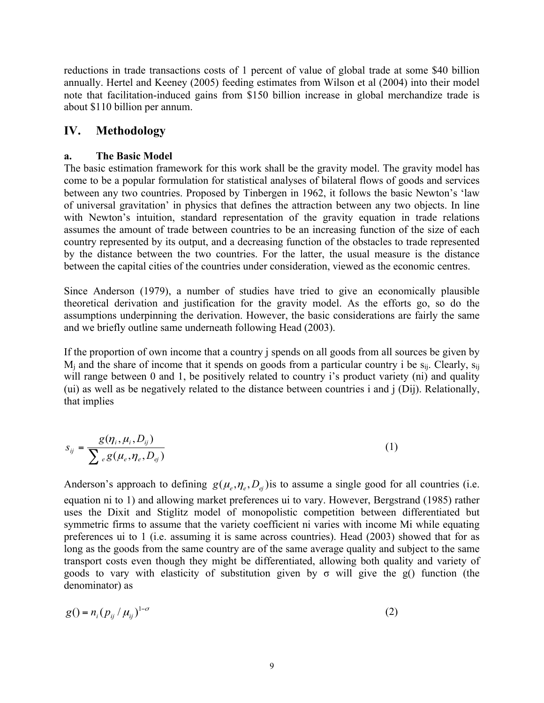reductions in trade transactions costs of 1 percent of value of global trade at some \$40 billion annually. Hertel and Keeney (2005) feeding estimates from Wilson et al (2004) into their model note that facilitation-induced gains from \$150 billion increase in global merchandize trade is about \$110 billion per annum.

## **IV. Methodology**

#### **a. The Basic Model**

The basic estimation framework for this work shall be the gravity model. The gravity model has come to be a popular formulation for statistical analyses of bilateral flows of goods and services between any two countries. Proposed by Tinbergen in 1962, it follows the basic Newton's 'law of universal gravitation' in physics that defines the attraction between any two objects. In line with Newton's intuition, standard representation of the gravity equation in trade relations assumes the amount of trade between countries to be an increasing function of the size of each country represented by its output, and a decreasing function of the obstacles to trade represented by the distance between the two countries. For the latter, the usual measure is the distance between the capital cities of the countries under consideration, viewed as the economic centres.

Since Anderson (1979), a number of studies have tried to give an economically plausible theoretical derivation and justification for the gravity model. As the efforts go, so do the assumptions underpinning the derivation. However, the basic considerations are fairly the same and we briefly outline same underneath following Head (2003).

If the proportion of own income that a country j spends on all goods from all sources be given by  $M_i$  and the share of income that it spends on goods from a particular country i be  $s_{ii}$ . Clearly,  $s_{ii}$ will range between 0 and 1, be positively related to country i's product variety (ni) and quality (ui) as well as be negatively related to the distance between countries i and j (Dij). Relationally, that implies

$$
S_{ij} = \frac{g(\eta_i, \mu_i, D_{ij})}{\sum_{e} g(\mu_e, \eta_e, D_{ej})}
$$
(1)

Anderson's approach to defining  $g(\mu_e, \eta_e, D_e)$  is to assume a single good for all countries (i.e. equation ni to 1) and allowing market preferences ui to vary. However, Bergstrand (1985) rather uses the Dixit and Stiglitz model of monopolistic competition between differentiated but symmetric firms to assume that the variety coefficient ni varies with income Mi while equating preferences ui to 1 (i.e. assuming it is same across countries). Head (2003) showed that for as long as the goods from the same country are of the same average quality and subject to the same transport costs even though they might be differentiated, allowing both quality and variety of goods to vary with elasticity of substitution given by  $\sigma$  will give the g() function (the denominator) as

$$
g\left(\right) = n_i \left(p_{ij} / \mu_{ij}\right)^{1-\sigma} \tag{2}
$$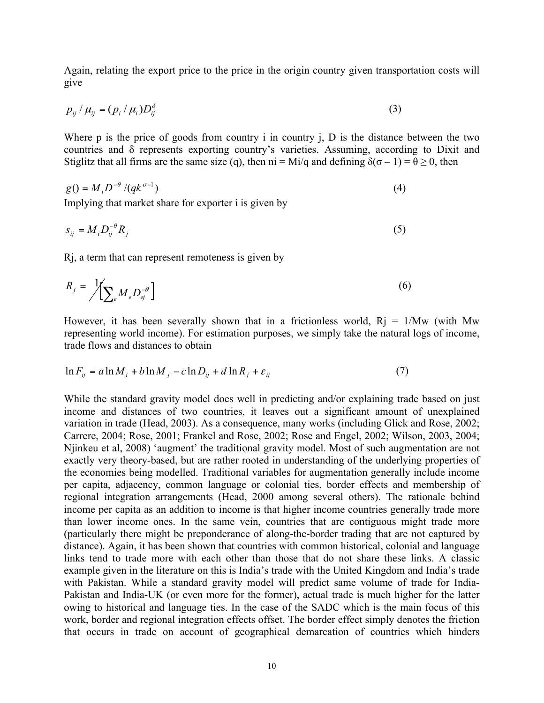Again, relating the export price to the price in the origin country given transportation costs will give

$$
p_{ij} / \mu_{ij} = (p_i / \mu_i) D_{ij}^{\delta} \tag{3}
$$

Where p is the price of goods from country i in country j, D is the distance between the two countries and δ represents exporting country's varieties. Assuming, according to Dixit and Stiglitz that all firms are the same size (q), then ni = Mi/q and defining  $\delta(\sigma - 1) = \theta \ge 0$ , then

$$
g() = M_i D^{-\theta} / (q k^{\sigma - 1})
$$
 (4)

Implying that market share for exporter i is given by

$$
s_{ij} = M_i D_{ij}^{-\theta} R_j \tag{5}
$$

Rj, a term that can represent remoteness is given by

$$
R_j = \left[ \sum_{e} M_e D_{ej}^{-\theta} \right] \tag{6}
$$

However, it has been severally shown that in a frictionless world,  $Rj = 1/Mw$  (with Mw representing world income). For estimation purposes, we simply take the natural logs of income, trade flows and distances to obtain

$$
\ln F_{ij} = a \ln M_i + b \ln M_j - c \ln D_{ij} + d \ln R_j + \varepsilon_{ij}
$$
\n<sup>(7)</sup>

While the standard gravity model does well in predicting and/or explaining trade based on just income and distances of two countries, it leaves out a significant amount of unexplained variation in trade (Head, 2003). As a consequence, many works (including Glick and Rose, 2002; Carrere, 2004; Rose, 2001; Frankel and Rose, 2002; Rose and Engel, 2002; Wilson, 2003, 2004; Njinkeu et al, 2008) 'augment' the traditional gravity model. Most of such augmentation are not exactly very theory-based, but are rather rooted in understanding of the underlying properties of the economies being modelled. Traditional variables for augmentation generally include income per capita, adjacency, common language or colonial ties, border effects and membership of regional integration arrangements (Head, 2000 among several others). The rationale behind income per capita as an addition to income is that higher income countries generally trade more than lower income ones. In the same vein, countries that are contiguous might trade more (particularly there might be preponderance of along-the-border trading that are not captured by distance). Again, it has been shown that countries with common historical, colonial and language links tend to trade more with each other than those that do not share these links. A classic example given in the literature on this is India's trade with the United Kingdom and India's trade with Pakistan. While a standard gravity model will predict same volume of trade for India-Pakistan and India-UK (or even more for the former), actual trade is much higher for the latter owing to historical and language ties. In the case of the SADC which is the main focus of this work, border and regional integration effects offset. The border effect simply denotes the friction that occurs in trade on account of geographical demarcation of countries which hinders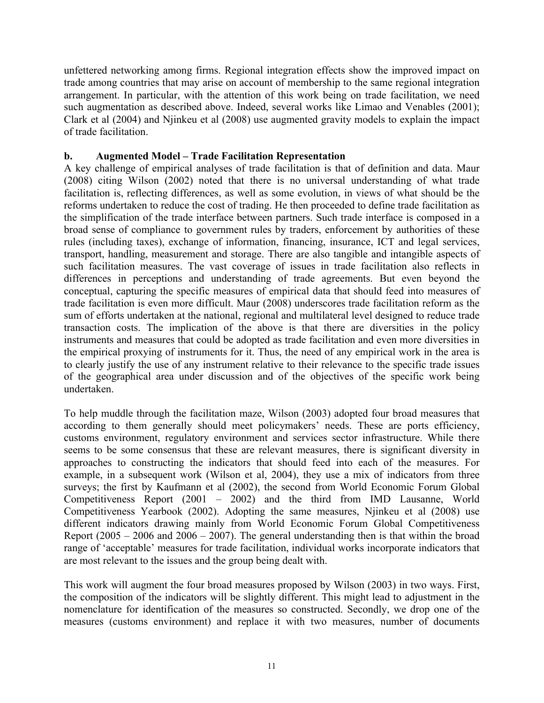unfettered networking among firms. Regional integration effects show the improved impact on trade among countries that may arise on account of membership to the same regional integration arrangement. In particular, with the attention of this work being on trade facilitation, we need such augmentation as described above. Indeed, several works like Limao and Venables (2001); Clark et al (2004) and Njinkeu et al (2008) use augmented gravity models to explain the impact of trade facilitation.

#### **b. Augmented Model – Trade Facilitation Representation**

A key challenge of empirical analyses of trade facilitation is that of definition and data. Maur (2008) citing Wilson (2002) noted that there is no universal understanding of what trade facilitation is, reflecting differences, as well as some evolution, in views of what should be the reforms undertaken to reduce the cost of trading. He then proceeded to define trade facilitation as the simplification of the trade interface between partners. Such trade interface is composed in a broad sense of compliance to government rules by traders, enforcement by authorities of these rules (including taxes), exchange of information, financing, insurance, ICT and legal services, transport, handling, measurement and storage. There are also tangible and intangible aspects of such facilitation measures. The vast coverage of issues in trade facilitation also reflects in differences in perceptions and understanding of trade agreements. But even beyond the conceptual, capturing the specific measures of empirical data that should feed into measures of trade facilitation is even more difficult. Maur (2008) underscores trade facilitation reform as the sum of efforts undertaken at the national, regional and multilateral level designed to reduce trade transaction costs. The implication of the above is that there are diversities in the policy instruments and measures that could be adopted as trade facilitation and even more diversities in the empirical proxying of instruments for it. Thus, the need of any empirical work in the area is to clearly justify the use of any instrument relative to their relevance to the specific trade issues of the geographical area under discussion and of the objectives of the specific work being undertaken.

To help muddle through the facilitation maze, Wilson (2003) adopted four broad measures that according to them generally should meet policymakers' needs. These are ports efficiency, customs environment, regulatory environment and services sector infrastructure. While there seems to be some consensus that these are relevant measures, there is significant diversity in approaches to constructing the indicators that should feed into each of the measures. For example, in a subsequent work (Wilson et al, 2004), they use a mix of indicators from three surveys; the first by Kaufmann et al (2002), the second from World Economic Forum Global Competitiveness Report (2001 – 2002) and the third from IMD Lausanne, World Competitiveness Yearbook (2002). Adopting the same measures, Njinkeu et al (2008) use different indicators drawing mainly from World Economic Forum Global Competitiveness Report (2005 – 2006 and 2006 – 2007). The general understanding then is that within the broad range of 'acceptable' measures for trade facilitation, individual works incorporate indicators that are most relevant to the issues and the group being dealt with.

This work will augment the four broad measures proposed by Wilson (2003) in two ways. First, the composition of the indicators will be slightly different. This might lead to adjustment in the nomenclature for identification of the measures so constructed. Secondly, we drop one of the measures (customs environment) and replace it with two measures, number of documents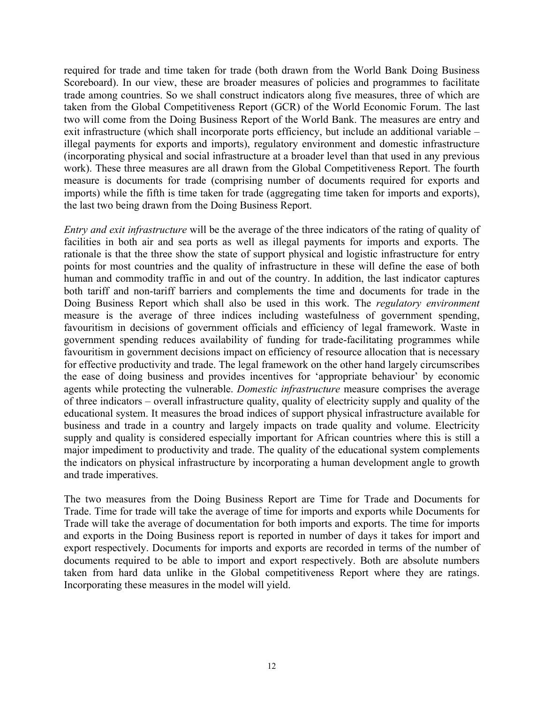required for trade and time taken for trade (both drawn from the World Bank Doing Business Scoreboard). In our view, these are broader measures of policies and programmes to facilitate trade among countries. So we shall construct indicators along five measures, three of which are taken from the Global Competitiveness Report (GCR) of the World Economic Forum. The last two will come from the Doing Business Report of the World Bank. The measures are entry and exit infrastructure (which shall incorporate ports efficiency, but include an additional variable – illegal payments for exports and imports), regulatory environment and domestic infrastructure (incorporating physical and social infrastructure at a broader level than that used in any previous work). These three measures are all drawn from the Global Competitiveness Report. The fourth measure is documents for trade (comprising number of documents required for exports and imports) while the fifth is time taken for trade (aggregating time taken for imports and exports), the last two being drawn from the Doing Business Report.

*Entry and exit infrastructure* will be the average of the three indicators of the rating of quality of facilities in both air and sea ports as well as illegal payments for imports and exports. The rationale is that the three show the state of support physical and logistic infrastructure for entry points for most countries and the quality of infrastructure in these will define the ease of both human and commodity traffic in and out of the country. In addition, the last indicator captures both tariff and non-tariff barriers and complements the time and documents for trade in the Doing Business Report which shall also be used in this work. The *regulatory environment* measure is the average of three indices including wastefulness of government spending, favouritism in decisions of government officials and efficiency of legal framework. Waste in government spending reduces availability of funding for trade-facilitating programmes while favouritism in government decisions impact on efficiency of resource allocation that is necessary for effective productivity and trade. The legal framework on the other hand largely circumscribes the ease of doing business and provides incentives for 'appropriate behaviour' by economic agents while protecting the vulnerable. *Domestic infrastructure* measure comprises the average of three indicators – overall infrastructure quality, quality of electricity supply and quality of the educational system. It measures the broad indices of support physical infrastructure available for business and trade in a country and largely impacts on trade quality and volume. Electricity supply and quality is considered especially important for African countries where this is still a major impediment to productivity and trade. The quality of the educational system complements the indicators on physical infrastructure by incorporating a human development angle to growth and trade imperatives.

The two measures from the Doing Business Report are Time for Trade and Documents for Trade. Time for trade will take the average of time for imports and exports while Documents for Trade will take the average of documentation for both imports and exports. The time for imports and exports in the Doing Business report is reported in number of days it takes for import and export respectively. Documents for imports and exports are recorded in terms of the number of documents required to be able to import and export respectively. Both are absolute numbers taken from hard data unlike in the Global competitiveness Report where they are ratings. Incorporating these measures in the model will yield.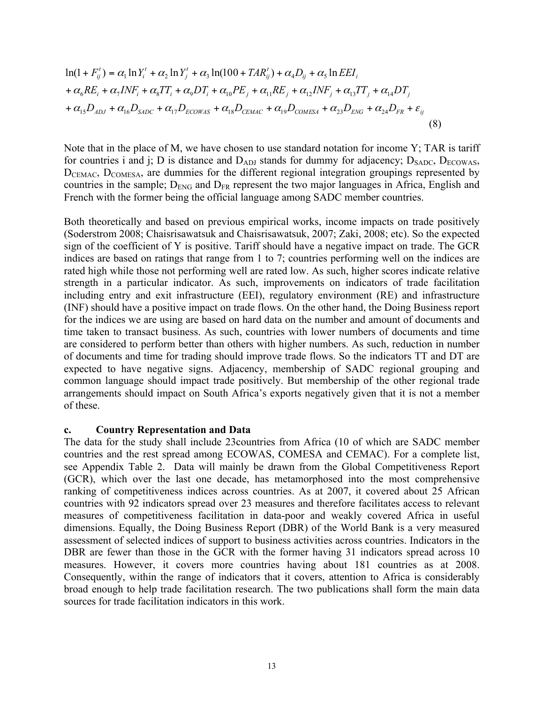$$
\ln(1 + F_{ij}^t) = \alpha_1 \ln Y_i^t + \alpha_2 \ln Y_j^t + \alpha_3 \ln(100 + IAR_{ij}^t) + \alpha_4 D_{ij} + \alpha_5 \ln EEI_i
$$
  
+  $\alpha_6 RE_i + \alpha_7 INF_i + \alpha_8 TT_i + \alpha_9 DT_i + \alpha_{10} PE_j + \alpha_{11} RE_j + \alpha_{12} INF_j + \alpha_{13} TT_j + \alpha_{14} DT_j$   
+  $\alpha_{15} D_{ADJ} + \alpha_{16} D_{SADC} + \alpha_{17} D_{ECOWAS} + \alpha_{18} D_{CEMAC} + \alpha_{19} D_{COMESA} + \alpha_{23} D_{ENG} + \alpha_{24} D_{FR} + \varepsilon_{ij}$  (8)

Note that in the place of M, we have chosen to use standard notation for income Y; TAR is tariff for countries i and j; D is distance and  $D_{ADJ}$  stands for dummy for adjacency;  $D_{SADC}$ ,  $D_{ECOWAS}$ , D<sub>CEMAC</sub>, D<sub>COMESA</sub>, are dummies for the different regional integration groupings represented by countries in the sample;  $D_{ENG}$  and  $D_{FR}$  represent the two major languages in Africa, English and French with the former being the official language among SADC member countries.

Both theoretically and based on previous empirical works, income impacts on trade positively (Soderstrom 2008; Chaisrisawatsuk and Chaisrisawatsuk, 2007; Zaki, 2008; etc). So the expected sign of the coefficient of Y is positive. Tariff should have a negative impact on trade. The GCR indices are based on ratings that range from 1 to 7; countries performing well on the indices are rated high while those not performing well are rated low. As such, higher scores indicate relative strength in a particular indicator. As such, improvements on indicators of trade facilitation including entry and exit infrastructure (EEI), regulatory environment (RE) and infrastructure (INF) should have a positive impact on trade flows. On the other hand, the Doing Business report for the indices we are using are based on hard data on the number and amount of documents and time taken to transact business. As such, countries with lower numbers of documents and time are considered to perform better than others with higher numbers. As such, reduction in number of documents and time for trading should improve trade flows. So the indicators TT and DT are expected to have negative signs. Adjacency, membership of SADC regional grouping and common language should impact trade positively. But membership of the other regional trade arrangements should impact on South Africa's exports negatively given that it is not a member of these.

#### **c. Country Representation and Data**

The data for the study shall include 23countries from Africa (10 of which are SADC member countries and the rest spread among ECOWAS, COMESA and CEMAC). For a complete list, see Appendix Table 2. Data will mainly be drawn from the Global Competitiveness Report (GCR), which over the last one decade, has metamorphosed into the most comprehensive ranking of competitiveness indices across countries. As at 2007, it covered about 25 African countries with 92 indicators spread over 23 measures and therefore facilitates access to relevant measures of competitiveness facilitation in data-poor and weakly covered Africa in useful dimensions. Equally, the Doing Business Report (DBR) of the World Bank is a very measured assessment of selected indices of support to business activities across countries. Indicators in the DBR are fewer than those in the GCR with the former having 31 indicators spread across 10 measures. However, it covers more countries having about 181 countries as at 2008. Consequently, within the range of indicators that it covers, attention to Africa is considerably broad enough to help trade facilitation research. The two publications shall form the main data sources for trade facilitation indicators in this work.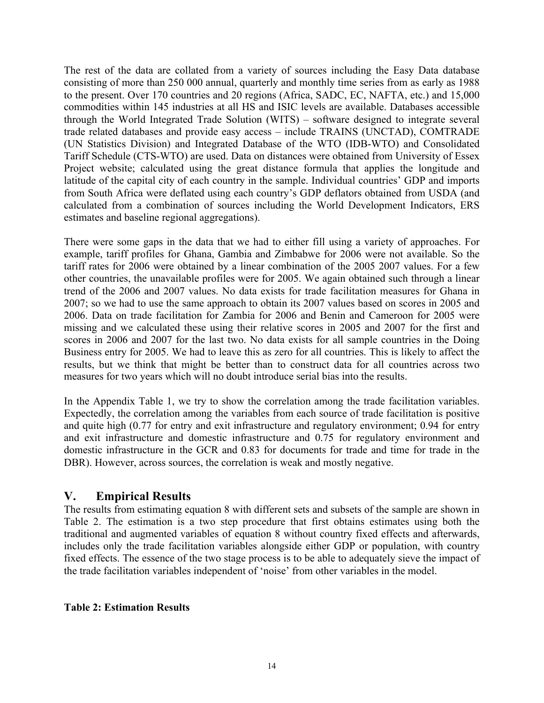The rest of the data are collated from a variety of sources including the Easy Data database consisting of more than 250 000 annual, quarterly and monthly time series from as early as 1988 to the present. Over 170 countries and 20 regions (Africa, SADC, EC, NAFTA, etc.) and 15,000 commodities within 145 industries at all HS and ISIC levels are available. Databases accessible through the World Integrated Trade Solution (WITS) – software designed to integrate several trade related databases and provide easy access – include TRAINS (UNCTAD), COMTRADE (UN Statistics Division) and Integrated Database of the WTO (IDB-WTO) and Consolidated Tariff Schedule (CTS-WTO) are used. Data on distances were obtained from University of Essex Project website; calculated using the great distance formula that applies the longitude and latitude of the capital city of each country in the sample. Individual countries' GDP and imports from South Africa were deflated using each country's GDP deflators obtained from USDA (and calculated from a combination of sources including the World Development Indicators, ERS estimates and baseline regional aggregations).

There were some gaps in the data that we had to either fill using a variety of approaches. For example, tariff profiles for Ghana, Gambia and Zimbabwe for 2006 were not available. So the tariff rates for 2006 were obtained by a linear combination of the 2005 2007 values. For a few other countries, the unavailable profiles were for 2005. We again obtained such through a linear trend of the 2006 and 2007 values. No data exists for trade facilitation measures for Ghana in 2007; so we had to use the same approach to obtain its 2007 values based on scores in 2005 and 2006. Data on trade facilitation for Zambia for 2006 and Benin and Cameroon for 2005 were missing and we calculated these using their relative scores in 2005 and 2007 for the first and scores in 2006 and 2007 for the last two. No data exists for all sample countries in the Doing Business entry for 2005. We had to leave this as zero for all countries. This is likely to affect the results, but we think that might be better than to construct data for all countries across two measures for two years which will no doubt introduce serial bias into the results.

In the Appendix Table 1, we try to show the correlation among the trade facilitation variables. Expectedly, the correlation among the variables from each source of trade facilitation is positive and quite high (0.77 for entry and exit infrastructure and regulatory environment; 0.94 for entry and exit infrastructure and domestic infrastructure and 0.75 for regulatory environment and domestic infrastructure in the GCR and 0.83 for documents for trade and time for trade in the DBR). However, across sources, the correlation is weak and mostly negative.

## **V. Empirical Results**

The results from estimating equation 8 with different sets and subsets of the sample are shown in Table 2. The estimation is a two step procedure that first obtains estimates using both the traditional and augmented variables of equation 8 without country fixed effects and afterwards, includes only the trade facilitation variables alongside either GDP or population, with country fixed effects. The essence of the two stage process is to be able to adequately sieve the impact of the trade facilitation variables independent of 'noise' from other variables in the model.

#### **Table 2: Estimation Results**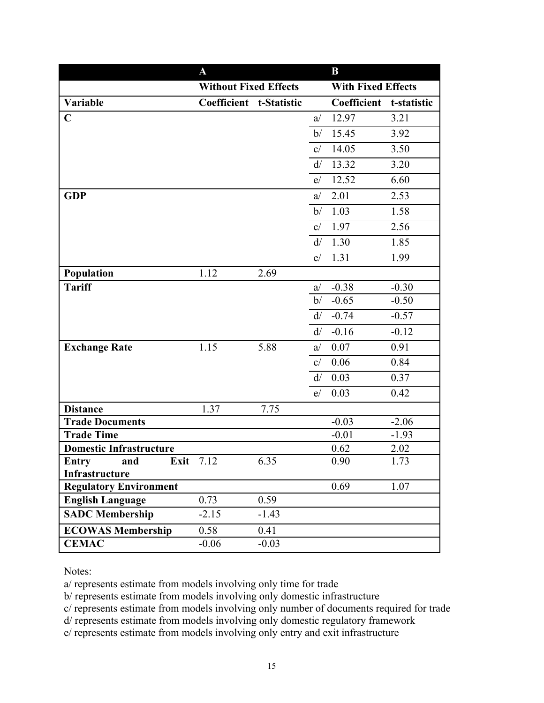|                                | $\mathbf{A}$                 |         |    | B                         |             |
|--------------------------------|------------------------------|---------|----|---------------------------|-------------|
|                                | <b>Without Fixed Effects</b> |         |    | <b>With Fixed Effects</b> |             |
| Variable                       | Coefficient t-Statistic      |         |    | Coefficient               | t-statistic |
| $\mathbf C$                    |                              |         | a/ | 12.97                     | 3.21        |
|                                |                              |         | b/ | 15.45                     | 3.92        |
|                                |                              |         | c/ | 14.05                     | 3.50        |
|                                |                              |         | d/ | 13.32                     | 3.20        |
|                                |                              |         | e/ | 12.52                     | 6.60        |
| <b>GDP</b>                     |                              |         | a/ | 2.01                      | 2.53        |
|                                |                              |         | b/ | 1.03                      | 1.58        |
|                                |                              |         | c/ | 1.97                      | 2.56        |
|                                |                              |         | d/ | 1.30                      | 1.85        |
|                                |                              |         | e/ | 1.31                      | 1.99        |
| Population                     | 1.12                         | 2.69    |    |                           |             |
| <b>Tariff</b>                  |                              |         | a/ | $-0.38$                   | $-0.30$     |
|                                |                              |         | b/ | $-0.65$                   | $-0.50$     |
|                                |                              |         | d/ | $-0.74$                   | $-0.57$     |
|                                |                              |         | d/ | $-0.16$                   | $-0.12$     |
| <b>Exchange Rate</b>           | 1.15                         | 5.88    | a/ | 0.07                      | 0.91        |
|                                |                              |         | c/ | 0.06                      | 0.84        |
|                                |                              |         | d/ | 0.03                      | 0.37        |
|                                |                              |         | e/ | 0.03                      | 0.42        |
| <b>Distance</b>                | 1.37                         | 7.75    |    |                           |             |
| <b>Trade Documents</b>         |                              |         |    | $-0.03$                   | $-2.06$     |
| <b>Trade Time</b>              |                              |         |    | $-0.01$                   | $-1.93$     |
| <b>Domestic Infrastructure</b> |                              |         |    | 0.62                      | 2.02        |
| Entry<br>Exit<br>and           | 7.12                         | 6.35    |    | 0.90                      | 1.73        |
| Infrastructure                 |                              |         |    |                           |             |
| <b>Regulatory Environment</b>  |                              |         |    | 0.69                      | 1.07        |
| <b>English Language</b>        | 0.73                         | 0.59    |    |                           |             |
| <b>SADC Membership</b>         | $-2.15$                      | $-1.43$ |    |                           |             |
| <b>ECOWAS Membership</b>       | 0.58                         | 0.41    |    |                           |             |
| <b>CEMAC</b>                   | $-0.06$                      | $-0.03$ |    |                           |             |

Notes:

a/ represents estimate from models involving only time for trade

b/ represents estimate from models involving only domestic infrastructure

c/ represents estimate from models involving only number of documents required for trade

d/ represents estimate from models involving only domestic regulatory framework

e/ represents estimate from models involving only entry and exit infrastructure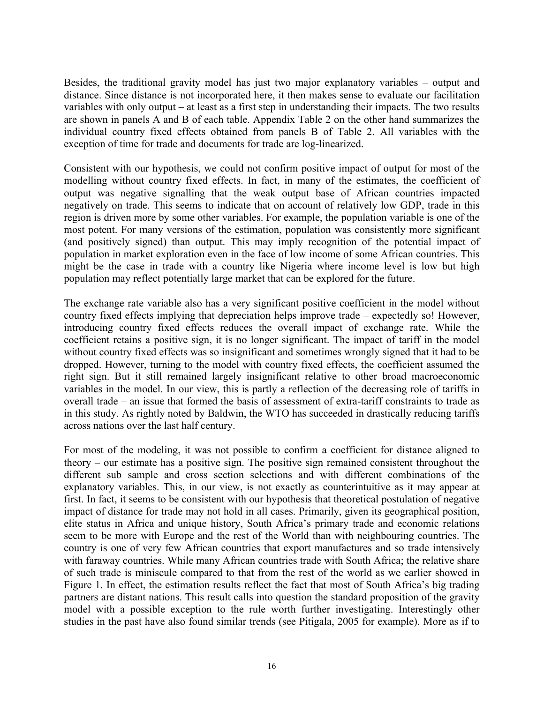Besides, the traditional gravity model has just two major explanatory variables – output and distance. Since distance is not incorporated here, it then makes sense to evaluate our facilitation variables with only output – at least as a first step in understanding their impacts. The two results are shown in panels A and B of each table. Appendix Table 2 on the other hand summarizes the individual country fixed effects obtained from panels B of Table 2. All variables with the exception of time for trade and documents for trade are log-linearized.

Consistent with our hypothesis, we could not confirm positive impact of output for most of the modelling without country fixed effects. In fact, in many of the estimates, the coefficient of output was negative signalling that the weak output base of African countries impacted negatively on trade. This seems to indicate that on account of relatively low GDP, trade in this region is driven more by some other variables. For example, the population variable is one of the most potent. For many versions of the estimation, population was consistently more significant (and positively signed) than output. This may imply recognition of the potential impact of population in market exploration even in the face of low income of some African countries. This might be the case in trade with a country like Nigeria where income level is low but high population may reflect potentially large market that can be explored for the future.

The exchange rate variable also has a very significant positive coefficient in the model without country fixed effects implying that depreciation helps improve trade – expectedly so! However, introducing country fixed effects reduces the overall impact of exchange rate. While the coefficient retains a positive sign, it is no longer significant. The impact of tariff in the model without country fixed effects was so insignificant and sometimes wrongly signed that it had to be dropped. However, turning to the model with country fixed effects, the coefficient assumed the right sign. But it still remained largely insignificant relative to other broad macroeconomic variables in the model. In our view, this is partly a reflection of the decreasing role of tariffs in overall trade – an issue that formed the basis of assessment of extra-tariff constraints to trade as in this study. As rightly noted by Baldwin, the WTO has succeeded in drastically reducing tariffs across nations over the last half century.

For most of the modeling, it was not possible to confirm a coefficient for distance aligned to theory – our estimate has a positive sign. The positive sign remained consistent throughout the different sub sample and cross section selections and with different combinations of the explanatory variables. This, in our view, is not exactly as counterintuitive as it may appear at first. In fact, it seems to be consistent with our hypothesis that theoretical postulation of negative impact of distance for trade may not hold in all cases. Primarily, given its geographical position, elite status in Africa and unique history, South Africa's primary trade and economic relations seem to be more with Europe and the rest of the World than with neighbouring countries. The country is one of very few African countries that export manufactures and so trade intensively with faraway countries. While many African countries trade with South Africa; the relative share of such trade is miniscule compared to that from the rest of the world as we earlier showed in Figure 1. In effect, the estimation results reflect the fact that most of South Africa's big trading partners are distant nations. This result calls into question the standard proposition of the gravity model with a possible exception to the rule worth further investigating. Interestingly other studies in the past have also found similar trends (see Pitigala, 2005 for example). More as if to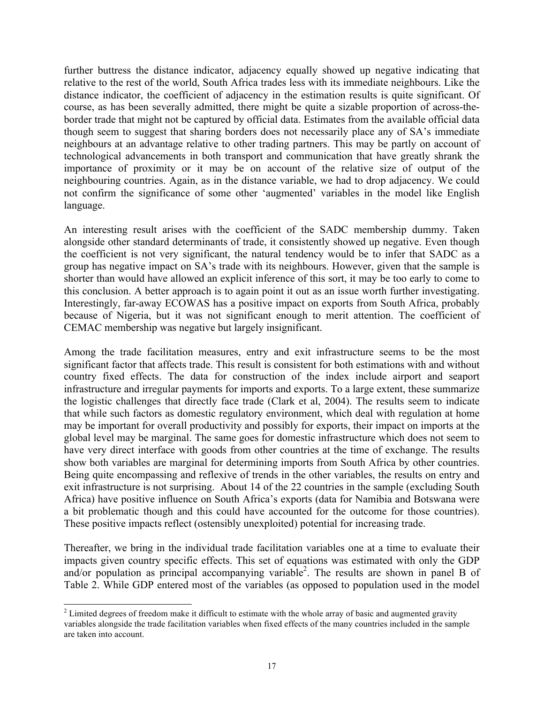further buttress the distance indicator, adjacency equally showed up negative indicating that relative to the rest of the world, South Africa trades less with its immediate neighbours. Like the distance indicator, the coefficient of adjacency in the estimation results is quite significant. Of course, as has been severally admitted, there might be quite a sizable proportion of across-theborder trade that might not be captured by official data. Estimates from the available official data though seem to suggest that sharing borders does not necessarily place any of SA's immediate neighbours at an advantage relative to other trading partners. This may be partly on account of technological advancements in both transport and communication that have greatly shrank the importance of proximity or it may be on account of the relative size of output of the neighbouring countries. Again, as in the distance variable, we had to drop adjacency. We could not confirm the significance of some other 'augmented' variables in the model like English language.

An interesting result arises with the coefficient of the SADC membership dummy. Taken alongside other standard determinants of trade, it consistently showed up negative. Even though the coefficient is not very significant, the natural tendency would be to infer that SADC as a group has negative impact on SA's trade with its neighbours. However, given that the sample is shorter than would have allowed an explicit inference of this sort, it may be too early to come to this conclusion. A better approach is to again point it out as an issue worth further investigating. Interestingly, far-away ECOWAS has a positive impact on exports from South Africa, probably because of Nigeria, but it was not significant enough to merit attention. The coefficient of CEMAC membership was negative but largely insignificant.

Among the trade facilitation measures, entry and exit infrastructure seems to be the most significant factor that affects trade. This result is consistent for both estimations with and without country fixed effects. The data for construction of the index include airport and seaport infrastructure and irregular payments for imports and exports. To a large extent, these summarize the logistic challenges that directly face trade (Clark et al, 2004). The results seem to indicate that while such factors as domestic regulatory environment, which deal with regulation at home may be important for overall productivity and possibly for exports, their impact on imports at the global level may be marginal. The same goes for domestic infrastructure which does not seem to have very direct interface with goods from other countries at the time of exchange. The results show both variables are marginal for determining imports from South Africa by other countries. Being quite encompassing and reflexive of trends in the other variables, the results on entry and exit infrastructure is not surprising. About 14 of the 22 countries in the sample (excluding South Africa) have positive influence on South Africa's exports (data for Namibia and Botswana were a bit problematic though and this could have accounted for the outcome for those countries). These positive impacts reflect (ostensibly unexploited) potential for increasing trade.

Thereafter, we bring in the individual trade facilitation variables one at a time to evaluate their impacts given country specific effects. This set of equations was estimated with only the GDP and/or population as principal accompanying variable<sup>2</sup>. The results are shown in panel B of Table 2. While GDP entered most of the variables (as opposed to population used in the model

<sup>&</sup>lt;sup>2</sup> Limited degrees of freedom make it difficult to estimate with the whole array of basic and augmented gravity variables alongside the trade facilitation variables when fixed effects of the many countries included in the sample are taken into account.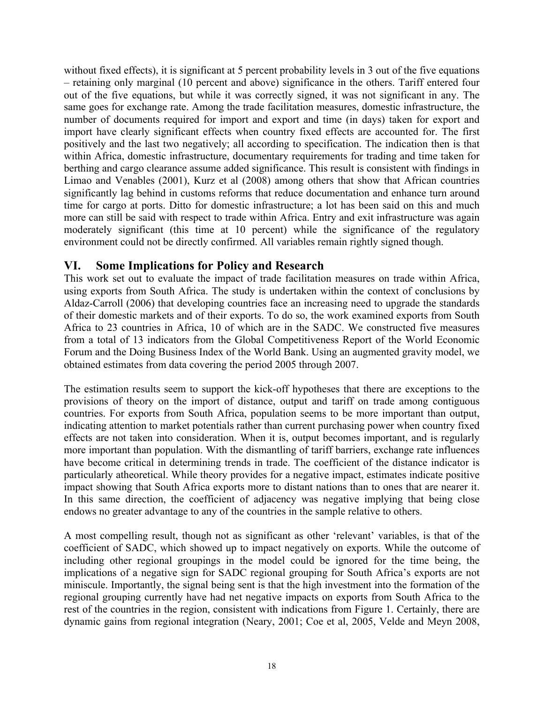without fixed effects), it is significant at 5 percent probability levels in 3 out of the five equations – retaining only marginal (10 percent and above) significance in the others. Tariff entered four out of the five equations, but while it was correctly signed, it was not significant in any. The same goes for exchange rate. Among the trade facilitation measures, domestic infrastructure, the number of documents required for import and export and time (in days) taken for export and import have clearly significant effects when country fixed effects are accounted for. The first positively and the last two negatively; all according to specification. The indication then is that within Africa, domestic infrastructure, documentary requirements for trading and time taken for berthing and cargo clearance assume added significance. This result is consistent with findings in Limao and Venables (2001), Kurz et al (2008) among others that show that African countries significantly lag behind in customs reforms that reduce documentation and enhance turn around time for cargo at ports. Ditto for domestic infrastructure; a lot has been said on this and much more can still be said with respect to trade within Africa. Entry and exit infrastructure was again moderately significant (this time at 10 percent) while the significance of the regulatory environment could not be directly confirmed. All variables remain rightly signed though.

## **VI. Some Implications for Policy and Research**

This work set out to evaluate the impact of trade facilitation measures on trade within Africa, using exports from South Africa. The study is undertaken within the context of conclusions by Aldaz-Carroll (2006) that developing countries face an increasing need to upgrade the standards of their domestic markets and of their exports. To do so, the work examined exports from South Africa to 23 countries in Africa, 10 of which are in the SADC. We constructed five measures from a total of 13 indicators from the Global Competitiveness Report of the World Economic Forum and the Doing Business Index of the World Bank. Using an augmented gravity model, we obtained estimates from data covering the period 2005 through 2007.

The estimation results seem to support the kick-off hypotheses that there are exceptions to the provisions of theory on the import of distance, output and tariff on trade among contiguous countries. For exports from South Africa, population seems to be more important than output, indicating attention to market potentials rather than current purchasing power when country fixed effects are not taken into consideration. When it is, output becomes important, and is regularly more important than population. With the dismantling of tariff barriers, exchange rate influences have become critical in determining trends in trade. The coefficient of the distance indicator is particularly atheoretical. While theory provides for a negative impact, estimates indicate positive impact showing that South Africa exports more to distant nations than to ones that are nearer it. In this same direction, the coefficient of adjacency was negative implying that being close endows no greater advantage to any of the countries in the sample relative to others.

A most compelling result, though not as significant as other 'relevant' variables, is that of the coefficient of SADC, which showed up to impact negatively on exports. While the outcome of including other regional groupings in the model could be ignored for the time being, the implications of a negative sign for SADC regional grouping for South Africa's exports are not miniscule. Importantly, the signal being sent is that the high investment into the formation of the regional grouping currently have had net negative impacts on exports from South Africa to the rest of the countries in the region, consistent with indications from Figure 1. Certainly, there are dynamic gains from regional integration (Neary, 2001; Coe et al, 2005, Velde and Meyn 2008,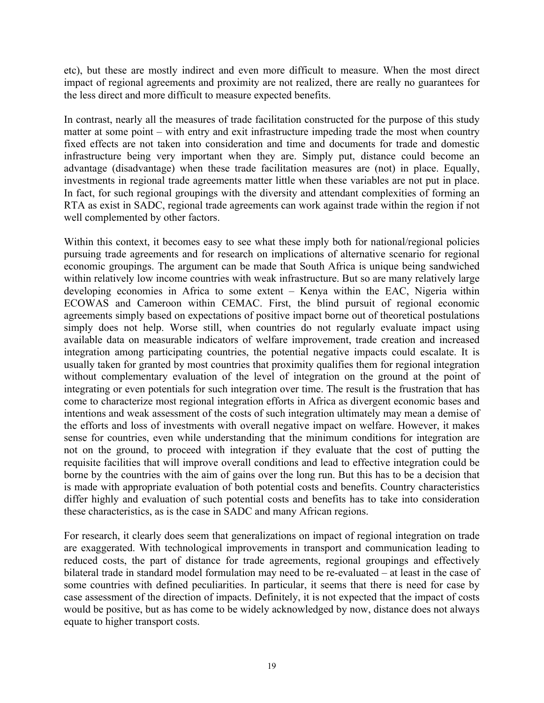etc), but these are mostly indirect and even more difficult to measure. When the most direct impact of regional agreements and proximity are not realized, there are really no guarantees for the less direct and more difficult to measure expected benefits.

In contrast, nearly all the measures of trade facilitation constructed for the purpose of this study matter at some point – with entry and exit infrastructure impeding trade the most when country fixed effects are not taken into consideration and time and documents for trade and domestic infrastructure being very important when they are. Simply put, distance could become an advantage (disadvantage) when these trade facilitation measures are (not) in place. Equally, investments in regional trade agreements matter little when these variables are not put in place. In fact, for such regional groupings with the diversity and attendant complexities of forming an RTA as exist in SADC, regional trade agreements can work against trade within the region if not well complemented by other factors.

Within this context, it becomes easy to see what these imply both for national/regional policies pursuing trade agreements and for research on implications of alternative scenario for regional economic groupings. The argument can be made that South Africa is unique being sandwiched within relatively low income countries with weak infrastructure. But so are many relatively large developing economies in Africa to some extent – Kenya within the EAC, Nigeria within ECOWAS and Cameroon within CEMAC. First, the blind pursuit of regional economic agreements simply based on expectations of positive impact borne out of theoretical postulations simply does not help. Worse still, when countries do not regularly evaluate impact using available data on measurable indicators of welfare improvement, trade creation and increased integration among participating countries, the potential negative impacts could escalate. It is usually taken for granted by most countries that proximity qualifies them for regional integration without complementary evaluation of the level of integration on the ground at the point of integrating or even potentials for such integration over time. The result is the frustration that has come to characterize most regional integration efforts in Africa as divergent economic bases and intentions and weak assessment of the costs of such integration ultimately may mean a demise of the efforts and loss of investments with overall negative impact on welfare. However, it makes sense for countries, even while understanding that the minimum conditions for integration are not on the ground, to proceed with integration if they evaluate that the cost of putting the requisite facilities that will improve overall conditions and lead to effective integration could be borne by the countries with the aim of gains over the long run. But this has to be a decision that is made with appropriate evaluation of both potential costs and benefits. Country characteristics differ highly and evaluation of such potential costs and benefits has to take into consideration these characteristics, as is the case in SADC and many African regions.

For research, it clearly does seem that generalizations on impact of regional integration on trade are exaggerated. With technological improvements in transport and communication leading to reduced costs, the part of distance for trade agreements, regional groupings and effectively bilateral trade in standard model formulation may need to be re-evaluated – at least in the case of some countries with defined peculiarities. In particular, it seems that there is need for case by case assessment of the direction of impacts. Definitely, it is not expected that the impact of costs would be positive, but as has come to be widely acknowledged by now, distance does not always equate to higher transport costs.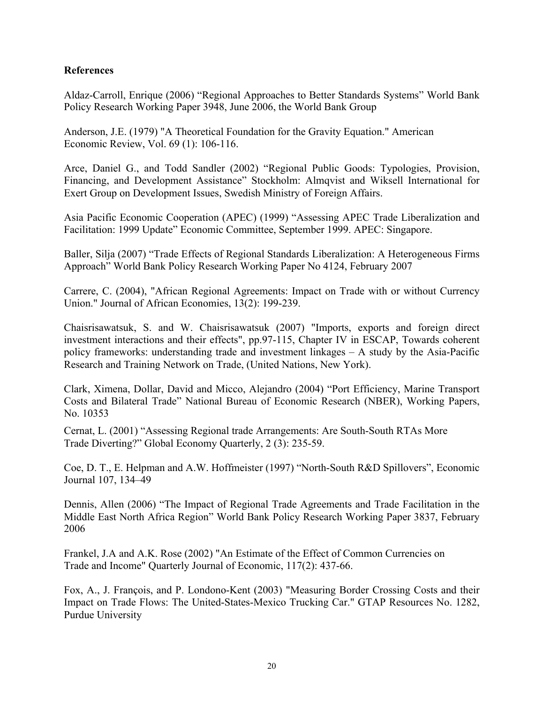#### **References**

Aldaz-Carroll, Enrique (2006) "Regional Approaches to Better Standards Systems" World Bank Policy Research Working Paper 3948, June 2006, the World Bank Group

Anderson, J.E. (1979) "A Theoretical Foundation for the Gravity Equation." American Economic Review, Vol. 69 (1): 106-116.

Arce, Daniel G., and Todd Sandler (2002) "Regional Public Goods: Typologies, Provision, Financing, and Development Assistance" Stockholm: Almqvist and Wiksell International for Exert Group on Development Issues, Swedish Ministry of Foreign Affairs.

Asia Pacific Economic Cooperation (APEC) (1999) "Assessing APEC Trade Liberalization and Facilitation: 1999 Update" Economic Committee, September 1999. APEC: Singapore.

Baller, Silja (2007) "Trade Effects of Regional Standards Liberalization: A Heterogeneous Firms Approach" World Bank Policy Research Working Paper No 4124, February 2007

Carrere, C. (2004), "African Regional Agreements: Impact on Trade with or without Currency Union." Journal of African Economies, 13(2): 199-239.

Chaisrisawatsuk, S. and W. Chaisrisawatsuk (2007) "Imports, exports and foreign direct investment interactions and their effects", pp.97-115, Chapter IV in ESCAP, Towards coherent policy frameworks: understanding trade and investment linkages – A study by the Asia-Pacific Research and Training Network on Trade, (United Nations, New York).

Clark, Ximena, Dollar, David and Micco, Alejandro (2004) "Port Efficiency, Marine Transport Costs and Bilateral Trade" National Bureau of Economic Research (NBER), Working Papers, No. 10353

Cernat, L. (2001) "Assessing Regional trade Arrangements: Are South-South RTAs More Trade Diverting?" Global Economy Quarterly, 2 (3): 235-59.

Coe, D. T., E. Helpman and A.W. Hoffmeister (1997) "North-South R&D Spillovers", Economic Journal 107, 134–49

Dennis, Allen (2006) "The Impact of Regional Trade Agreements and Trade Facilitation in the Middle East North Africa Region" World Bank Policy Research Working Paper 3837, February 2006

Frankel, J.A and A.K. Rose (2002) "An Estimate of the Effect of Common Currencies on Trade and Income" Quarterly Journal of Economic, 117(2): 437-66.

Fox, A., J. François, and P. Londono-Kent (2003) "Measuring Border Crossing Costs and their Impact on Trade Flows: The United-States-Mexico Trucking Car." GTAP Resources No. 1282, Purdue University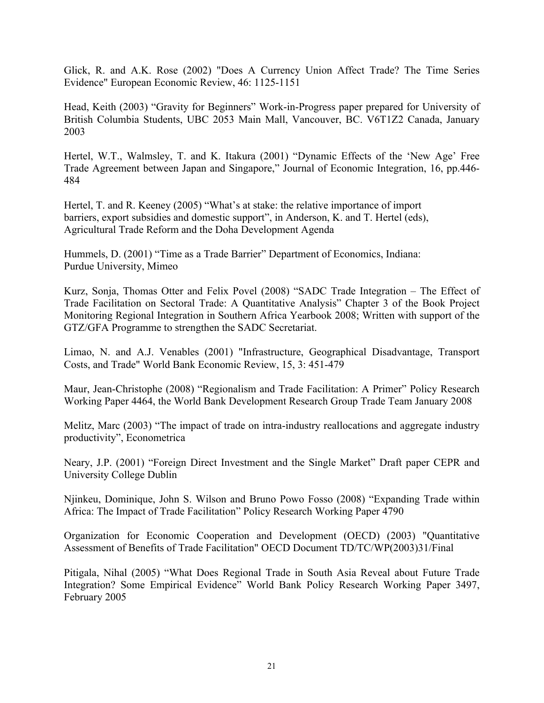Glick, R. and A.K. Rose (2002) "Does A Currency Union Affect Trade? The Time Series Evidence" European Economic Review, 46: 1125-1151

Head, Keith (2003) "Gravity for Beginners" Work-in-Progress paper prepared for University of British Columbia Students, UBC 2053 Main Mall, Vancouver, BC. V6T1Z2 Canada, January 2003

Hertel, W.T., Walmsley, T. and K. Itakura (2001) "Dynamic Effects of the 'New Age' Free Trade Agreement between Japan and Singapore," Journal of Economic Integration, 16, pp.446- 484

Hertel, T. and R. Keeney (2005) "What's at stake: the relative importance of import barriers, export subsidies and domestic support", in Anderson, K. and T. Hertel (eds), Agricultural Trade Reform and the Doha Development Agenda

Hummels, D. (2001) "Time as a Trade Barrier" Department of Economics, Indiana: Purdue University, Mimeo

Kurz, Sonja, Thomas Otter and Felix Povel (2008) "SADC Trade Integration – The Effect of Trade Facilitation on Sectoral Trade: A Quantitative Analysis" Chapter 3 of the Book Project Monitoring Regional Integration in Southern Africa Yearbook 2008; Written with support of the GTZ/GFA Programme to strengthen the SADC Secretariat.

Limao, N. and A.J. Venables (2001) "Infrastructure, Geographical Disadvantage, Transport Costs, and Trade" World Bank Economic Review, 15, 3: 451-479

Maur, Jean-Christophe (2008) "Regionalism and Trade Facilitation: A Primer" Policy Research Working Paper 4464, the World Bank Development Research Group Trade Team January 2008

Melitz, Marc (2003) "The impact of trade on intra-industry reallocations and aggregate industry productivity", Econometrica

Neary, J.P. (2001) "Foreign Direct Investment and the Single Market" Draft paper CEPR and University College Dublin

Njinkeu, Dominique, John S. Wilson and Bruno Powo Fosso (2008) "Expanding Trade within Africa: The Impact of Trade Facilitation" Policy Research Working Paper 4790

Organization for Economic Cooperation and Development (OECD) (2003) "Quantitative Assessment of Benefits of Trade Facilitation" OECD Document TD/TC/WP(2003)31/Final

Pitigala, Nihal (2005) "What Does Regional Trade in South Asia Reveal about Future Trade Integration? Some Empirical Evidence" World Bank Policy Research Working Paper 3497, February 2005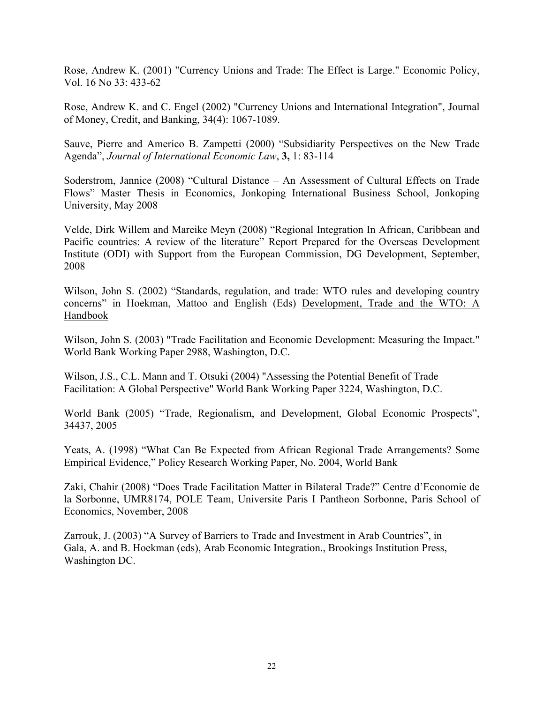Rose, Andrew K. (2001) "Currency Unions and Trade: The Effect is Large." Economic Policy, Vol. 16 No 33: 433-62

Rose, Andrew K. and C. Engel (2002) "Currency Unions and International Integration", Journal of Money, Credit, and Banking, 34(4): 1067-1089.

Sauve, Pierre and Americo B. Zampetti (2000) "Subsidiarity Perspectives on the New Trade Agenda", *Journal of International Economic Law*, **3,** 1: 83-114

Soderstrom, Jannice (2008) "Cultural Distance – An Assessment of Cultural Effects on Trade Flows" Master Thesis in Economics, Jonkoping International Business School, Jonkoping University, May 2008

Velde, Dirk Willem and Mareike Meyn (2008) "Regional Integration In African, Caribbean and Pacific countries: A review of the literature" Report Prepared for the Overseas Development Institute (ODI) with Support from the European Commission, DG Development, September, 2008

Wilson, John S. (2002) "Standards, regulation, and trade: WTO rules and developing country concerns" in Hoekman, Mattoo and English (Eds) Development, Trade and the WTO: A Handbook

Wilson, John S. (2003) "Trade Facilitation and Economic Development: Measuring the Impact." World Bank Working Paper 2988, Washington, D.C.

Wilson, J.S., C.L. Mann and T. Otsuki (2004) "Assessing the Potential Benefit of Trade Facilitation: A Global Perspective" World Bank Working Paper 3224, Washington, D.C.

World Bank (2005) "Trade, Regionalism, and Development, Global Economic Prospects", 34437, 2005

Yeats, A. (1998) "What Can Be Expected from African Regional Trade Arrangements? Some Empirical Evidence," Policy Research Working Paper, No. 2004, World Bank

Zaki, Chahir (2008) "Does Trade Facilitation Matter in Bilateral Trade?" Centre d'Economie de la Sorbonne, UMR8174, POLE Team, Universite Paris I Pantheon Sorbonne, Paris School of Economics, November, 2008

Zarrouk, J. (2003) "A Survey of Barriers to Trade and Investment in Arab Countries", in Gala, A. and B. Hoekman (eds), Arab Economic Integration., Brookings Institution Press, Washington DC.